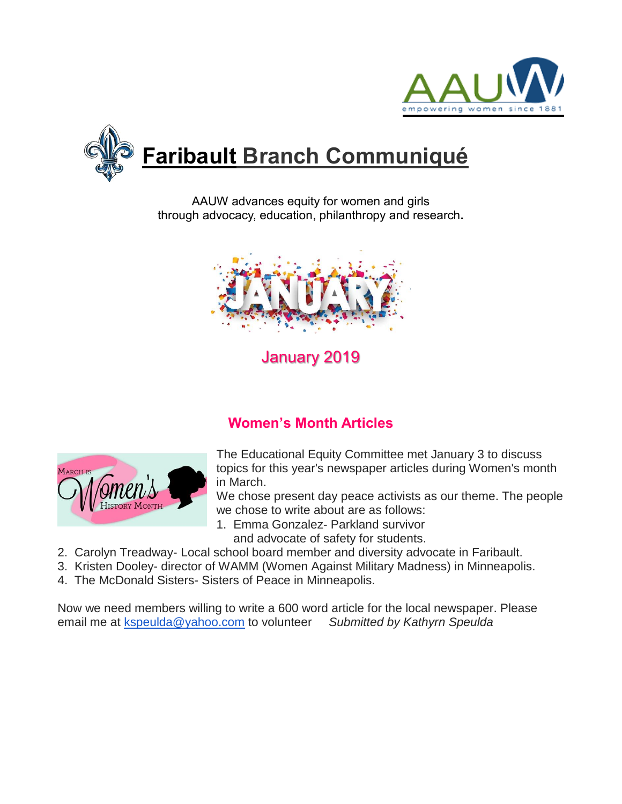



AAUW advances equity for women and girls through advocacy, education, philanthropy and research**.**



# January 2019

## **Women's Month Articles**



The Educational Equity Committee met January 3 to discuss topics for this year's newspaper articles during Women's month in March.

We chose present day peace activists as our theme. The people we chose to write about are as follows:

- 1. Emma Gonzalez- Parkland survivor and advocate of safety for students.
- 2. Carolyn Treadway- Local school board member and diversity advocate in Faribault.
- 3. Kristen Dooley- director of WAMM (Women Against Military Madness) in Minneapolis.
- 4. The McDonald Sisters- Sisters of Peace in Minneapolis.

Now we need members willing to write a 600 word article for the local newspaper. Please email me at [kspeulda@yahoo.com](mailto:kspeulda@yahoo.com) to volunteer *Submitted by Kathyrn Speulda*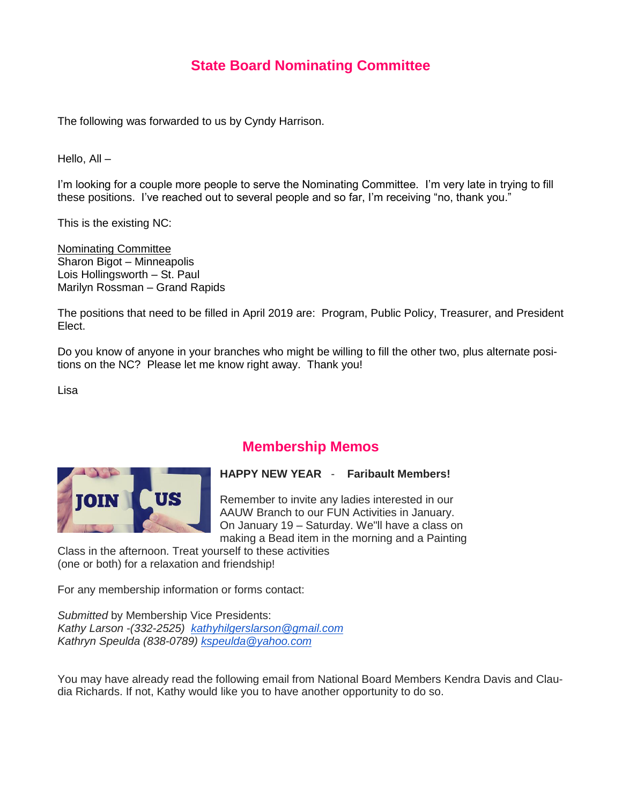### **State Board Nominating Committee**

The following was forwarded to us by Cyndy Harrison.

Hello, All –

I'm looking for a couple more people to serve the Nominating Committee. I'm very late in trying to fill these positions. I've reached out to several people and so far, I'm receiving "no, thank you."

This is the existing NC:

Nominating Committee Sharon Bigot – Minneapolis Lois Hollingsworth – St. Paul Marilyn Rossman – Grand Rapids

The positions that need to be filled in April 2019 are: Program, Public Policy, Treasurer, and President Elect.

Do you know of anyone in your branches who might be willing to fill the other two, plus alternate positions on the NC? Please let me know right away. Thank you!

Lisa



#### **Membership Memos**

**HAPPY NEW YEAR** - **Faribault Members!**

Remember to invite any ladies interested in our AAUW Branch to our FUN Activities in January. On January 19 – Saturday. We"ll have a class on making a Bead item in the morning and a Painting

Class in the afternoon. Treat yourself to these activities (one or both) for a relaxation and friendship!

For any membership information or forms contact:

*Submitted* by Membership Vice Presidents: *Kathy Larson -(332-2525) [kathyhilgerslarson@gmail.com](mailto:kathyhilgerslarson@gmail.com) Kathryn Speulda (838-0789) [kspeulda@yahoo.com](mailto:kspeulda@yahoo.com)*

You may have already read the following email from National Board Members Kendra Davis and Claudia Richards. If not, Kathy would like you to have another opportunity to do so.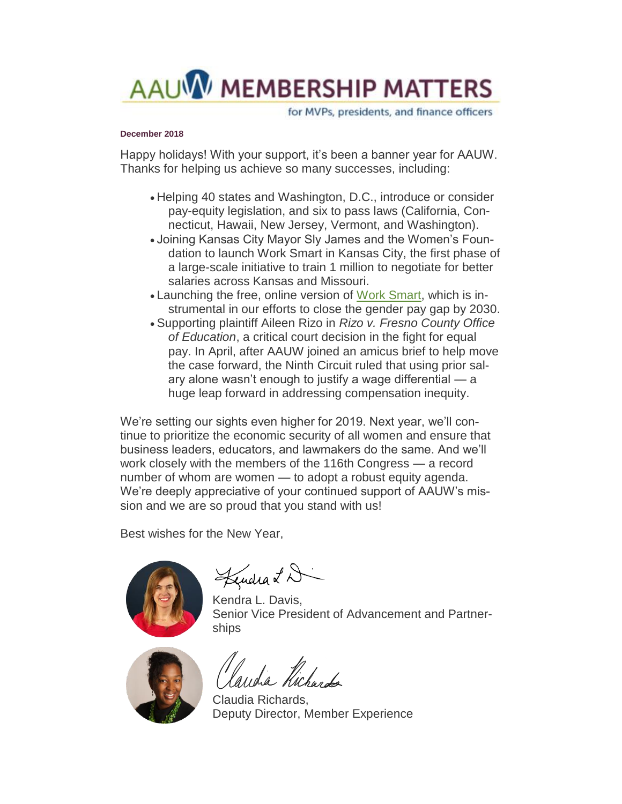

for MVPs, presidents, and finance officers

#### **December 2018**

Happy holidays! With your support, it's been a banner year for AAUW. Thanks for helping us achieve so many successes, including:

- Helping 40 states and Washington, D.C., introduce or consider pay-equity legislation, and six to pass laws (California, Connecticut, Hawaii, New Jersey, Vermont, and Washington).
- Joining Kansas City Mayor Sly James and the Women's Foundation to launch Work Smart in Kansas City, the first phase of a large-scale initiative to train 1 million to negotiate for better salaries across Kansas and Missouri.
- Launching the free, online version of [Work Smart,](http://salsa4.salsalabs.com/dia/track.jsp?v=2&c=tERCL4vQOKdFtC8%2FhFYWaLSosqkEnAmc) which is instrumental in our efforts to close the gender pay gap by 2030.
- Supporting plaintiff Aileen Rizo in *Rizo v. Fresno County Office of Education*, a critical court decision in the fight for equal pay. In April, after AAUW joined an amicus brief to help move the case forward, the Ninth Circuit ruled that using prior salary alone wasn't enough to justify a wage differential — a huge leap forward in addressing compensation inequity.

We're setting our sights even higher for 2019. Next year, we'll continue to prioritize the economic security of all women and ensure that business leaders, educators, and lawmakers do the same. And we'll work closely with the members of the 116th Congress — a record number of whom are women — to adopt a robust equity agenda. We're deeply appreciative of your continued support of AAUW's mission and we are so proud that you stand with us!

Best wishes for the New Year,



Lendra LD

Kendra L. Davis, Senior Vice President of Advancement and Partnerships



India Kichardo

Claudia Richards, Deputy Director, Member Experience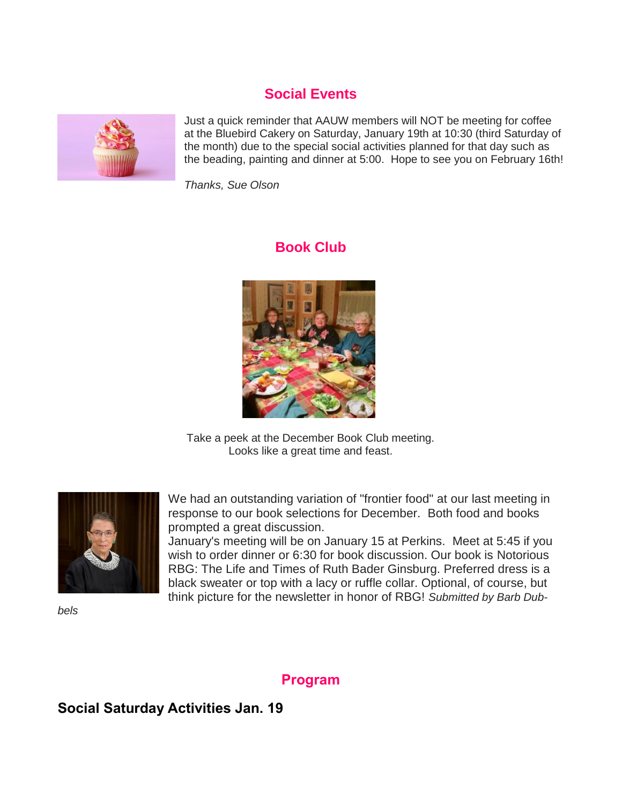## **Social Events**



Just a quick reminder that AAUW members will NOT be meeting for coffee at the Bluebird Cakery on Saturday, January 19th at 10:30 (third Saturday of the month) due to the special social activities planned for that day such as the beading, painting and dinner at 5:00. Hope to see you on February 16th!

*Thanks, Sue Olson*

### **Book Club**



Take a peek at the December Book Club meeting. Looks like a great time and feast.



We had an outstanding variation of "frontier food" at our last meeting in response to our book selections for December. Both food and books prompted a great discussion.

January's meeting will be on January 15 at Perkins. Meet at 5:45 if you wish to order dinner or 6:30 for book discussion. Our book is Notorious RBG: The Life and Times of Ruth Bader Ginsburg. Preferred dress is a black sweater or top with a lacy or ruffle collar. Optional, of course, but think picture for the newsletter in honor of RBG! *Submitted by Barb Dub-*

*bels*

## **Program**

## **Social Saturday Activities Jan. 19**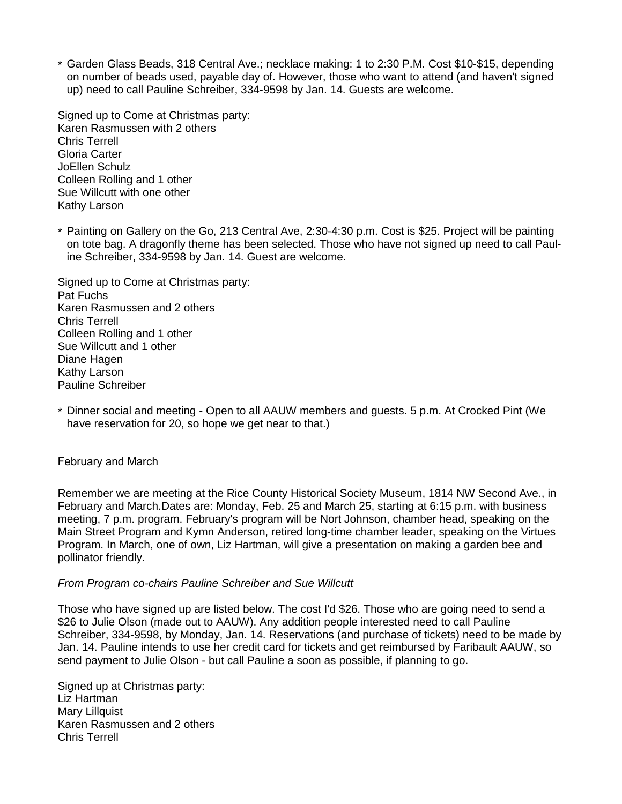\* Garden Glass Beads, 318 Central Ave.; necklace making: 1 to 2:30 P.M. Cost \$10-\$15, depending on number of beads used, payable day of. However, those who want to attend (and haven't signed up) need to call Pauline Schreiber, 334-9598 by Jan. 14. Guests are welcome.

Signed up to Come at Christmas party: Karen Rasmussen with 2 others Chris Terrell Gloria Carter JoEllen Schulz Colleen Rolling and 1 other Sue Willcutt with one other Kathy Larson

\* Painting on Gallery on the Go, 213 Central Ave, 2:30-4:30 p.m. Cost is \$25. Project will be painting on tote bag. A dragonfly theme has been selected. Those who have not signed up need to call Pauline Schreiber, 334-9598 by Jan. 14. Guest are welcome.

Signed up to Come at Christmas party: Pat Fuchs Karen Rasmussen and 2 others Chris Terrell Colleen Rolling and 1 other Sue Willcutt and 1 other Diane Hagen Kathy Larson Pauline Schreiber

\* Dinner social and meeting - Open to all AAUW members and guests. 5 p.m. At Crocked Pint (We have reservation for 20, so hope we get near to that.)

#### February and March

Remember we are meeting at the Rice County Historical Society Museum, 1814 NW Second Ave., in February and March.Dates are: Monday, Feb. 25 and March 25, starting at 6:15 p.m. with business meeting, 7 p.m. program. February's program will be Nort Johnson, chamber head, speaking on the Main Street Program and Kymn Anderson, retired long-time chamber leader, speaking on the Virtues Program. In March, one of own, Liz Hartman, will give a presentation on making a garden bee and pollinator friendly.

#### *From Program co-chairs Pauline Schreiber and Sue Willcutt*

Those who have signed up are listed below. The cost I'd \$26. Those who are going need to send a \$26 to Julie Olson (made out to AAUW). Any addition people interested need to call Pauline Schreiber, 334-9598, by Monday, Jan. 14. Reservations (and purchase of tickets) need to be made by Jan. 14. Pauline intends to use her credit card for tickets and get reimbursed by Faribault AAUW, so send payment to Julie Olson - but call Pauline a soon as possible, if planning to go.

Signed up at Christmas party: Liz Hartman Mary Lillquist Karen Rasmussen and 2 others Chris Terrell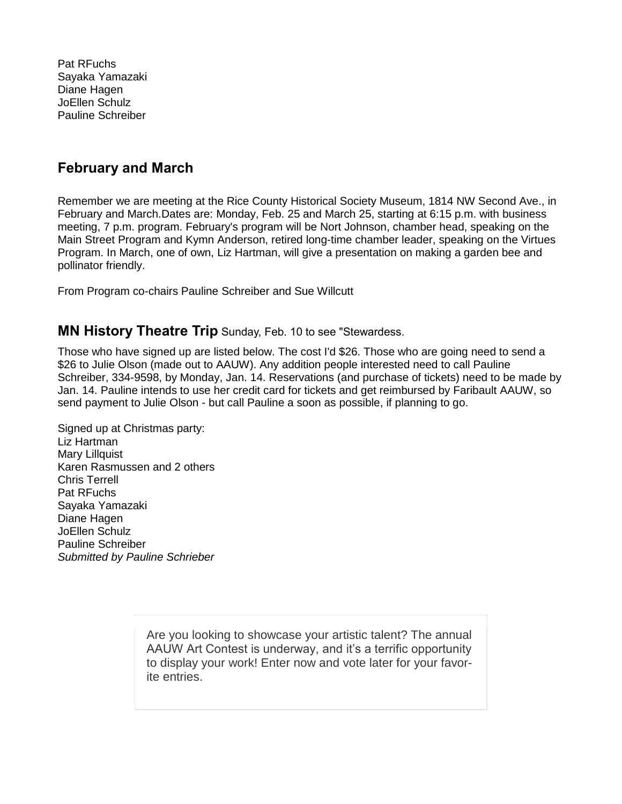Pat RFuchs Sayaka Yamazaki Diane Hagen JoEllen Schulz Pauline Schreiber

#### **February and March**

Remember we are meeting at the Rice County Historical Society Museum, 1814 NW Second Ave., in February and March.Dates are: Monday, Feb. 25 and March 25, starting at 6:15 p.m. with business meeting, 7 p.m. program. February's program will be Nort Johnson, chamber head, speaking on the Main Street Program and Kymn Anderson, retired long-time chamber leader, speaking on the Virtues Program. In March, one of own, Liz Hartman, will give a presentation on making a garden bee and pollinator friendly.

From Program co-chairs Pauline Schreiber and Sue Willcutt

#### **MN History Theatre Trip** Sunday, Feb. 10 to see "Stewardess.

Those who have signed up are listed below. The cost I'd \$26. Those who are going need to send a \$26 to Julie Olson (made out to AAUW). Any addition people interested need to call Pauline Schreiber, 334-9598, by Monday, Jan. 14. Reservations (and purchase of tickets) need to be made by Jan. 14. Pauline intends to use her credit card for tickets and get reimbursed by Faribault AAUW, so send payment to Julie Olson - but call Pauline a soon as possible, if planning to go.

Signed up at Christmas party: Liz Hartman Mary Lillquist Karen Rasmussen and 2 others Chris Terrell Pat RFuchs Sayaka Yamazaki Diane Hagen JoEllen Schulz Pauline Schreiber *Submitted by Pauline Schrieber*

> Are you looking to showcase your artistic talent? The annual AAUW Art Contest is underway, and it's a terrific opportunity to display your work! Enter now and vote later for your favorite entries.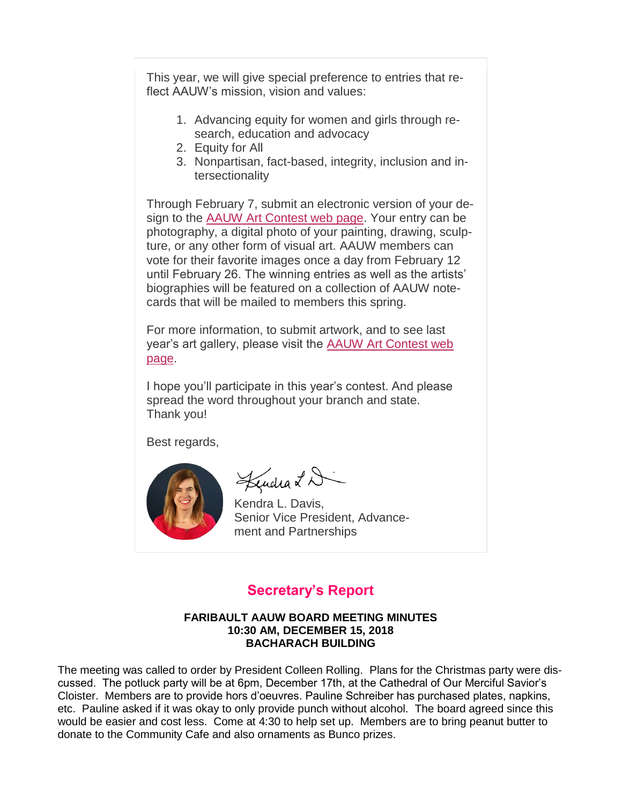This year, we will give special preference to entries that reflect AAUW's mission, vision and values:

- 1. Advancing equity for women and girls through research, education and advocacy
- 2. Equity for All
- 3. Nonpartisan, fact-based, integrity, inclusion and intersectionality

Through February 7, submit an electronic version of your design to the [AAUW Art Contest web page.](http://salsa4.salsalabs.com/dia/track.jsp?v=2&c=9aSvPmcKdkWnEAYKlRT5FB4IoX3eNGuF) Your entry can be photography, a digital photo of your painting, drawing, sculpture, or any other form of visual art. AAUW members can vote for their favorite images once a day from February 12 until February 26. The winning entries as well as the artists' biographies will be featured on a collection of AAUW notecards that will be mailed to members this spring.

For more information, to submit artwork, and to see last year's art gallery, please visit the [AAUW Art Contest web](http://salsa4.salsalabs.com/dia/track.jsp?v=2&c=kNyp%2F5XEH13%2BAInP4uaYvR4IoX3eNGuF)  [page.](http://salsa4.salsalabs.com/dia/track.jsp?v=2&c=kNyp%2F5XEH13%2BAInP4uaYvR4IoX3eNGuF)

I hope you'll participate in this year's contest. And please spread the word throughout your branch and state. Thank you!

Best regards,



Lendra LD

Kendra L. Davis, Senior Vice President, Advancement and Partnerships

### **Secretary's Report**

#### **FARIBAULT AAUW BOARD MEETING MINUTES 10:30 AM, DECEMBER 15, 2018 BACHARACH BUILDING**

The meeting was called to order by President Colleen Rolling. Plans for the Christmas party were discussed. The potluck party will be at 6pm, December 17th, at the Cathedral of Our Merciful Savior's Cloister. Members are to provide hors d'oeuvres. Pauline Schreiber has purchased plates, napkins, etc. Pauline asked if it was okay to only provide punch without alcohol. The board agreed since this would be easier and cost less. Come at 4:30 to help set up. Members are to bring peanut butter to donate to the Community Cafe and also ornaments as Bunco prizes.